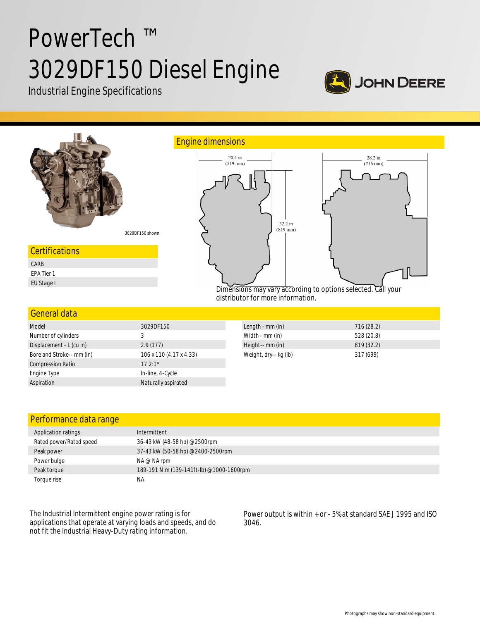# PowerTech ™ 3029DF150 Diesel Engine

Industrial Engine Specifications





| Performance data range  |                                          |
|-------------------------|------------------------------------------|
| Application ratings     | Intermittent                             |
| Rated power/Rated speed | 36-43 kW (48-58 hp) @2500rpm             |
| Peak power              | 37-43 kW (50-58 hp) @2400-2500rpm        |
| Power bulge             | $NA \otimes NA$ rpm                      |
| Peak torque             | 189-191 N.m (139-141ft-lb) @1000-1600rpm |
| Torque rise             | ΝA                                       |

The Industrial Intermittent engine power rating is for applications that operate at varying loads and speeds, and do not fit the Industrial Heavy-Duty rating information.

Aspiration Naturally aspirated

Power output is within + or - 5% at standard SAE J 1995 and ISO 3046.